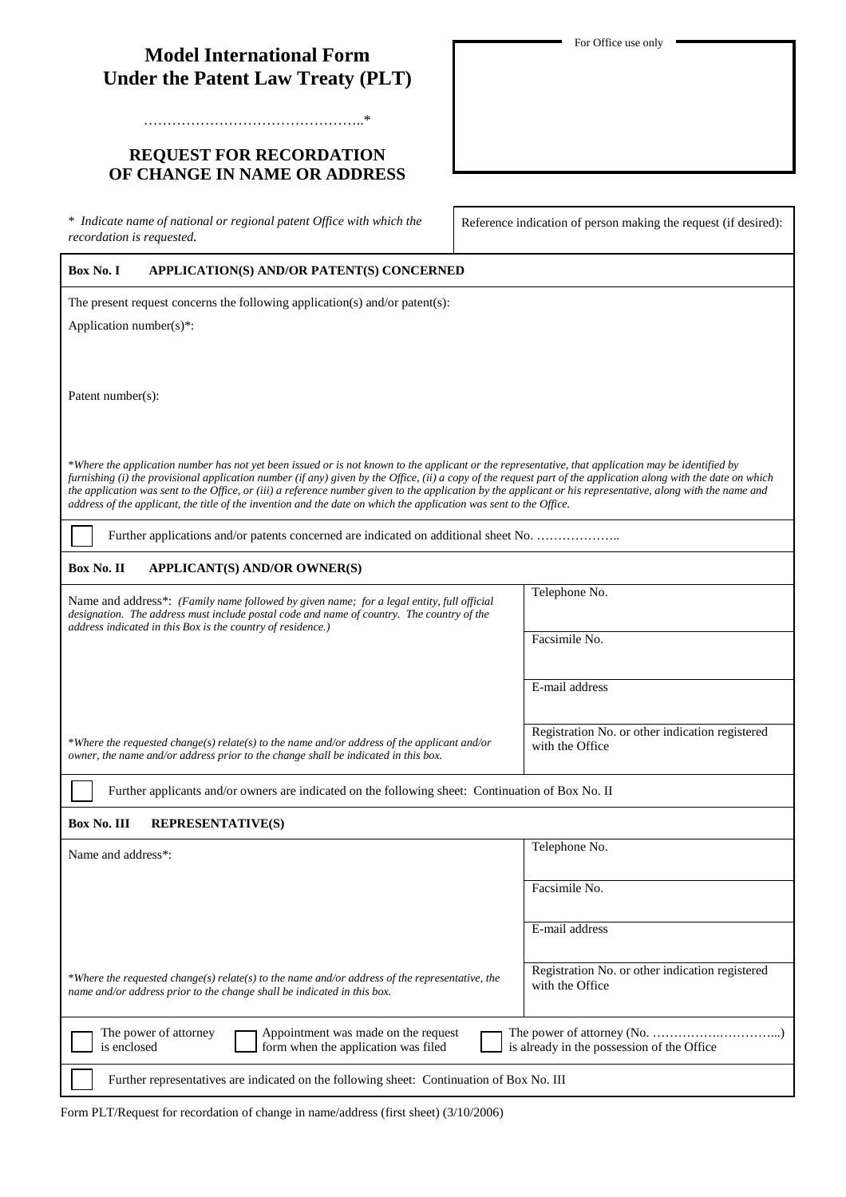# **Model International Form Under the Patent Law Treaty (PLT)**

## **REQUEST FOR RECORDATION OF CHANGE IN NAME OR ADDRESS**

………………………………………..\*

\* *Indicate name of national or regional patent Office with which the \** Indicate name of national or regional patent Office with which the<br>recordation is requested.<br>recordation is requested.

#### **Box No. I APPLICATION(S) AND/OR PATENT(S) CONCERNED**

The present request concerns the following application(s) and/or patent(s):

Application number(s)\*:

Patent number(s):

\**Where the application number has not yet been issued or is not known to the applicant or the representative, that application may be identified by furnishing (i) the provisional application number (if any) given by the Office, (ii) a copy of the request part of the application along with the date on which the application was sent to the Office, or (iii) a reference number given to the application by the applicant or his representative, along with the name and address of the applicant, the title of the invention and the date on which the application was sent to the Office.*

Further applications and/or patents concerned are indicated on additional sheet No. ..........................

### **Box No. II APPLICANT(S) AND/OR OWNER(S)**

Name and address\*: *(Family name followed by given name; for a legal entity, full official designation. The address must include postal code and name of country. The country of the address indicated in this Box is the country of residence.)*

\**Where the requested change(s) relate(s) to the name and/or address of the applicant and/or* 

*owner, the name and/or address prior to the change shall be indicated in this box.*

Facsimile No.

Telephone No.

E-mail address

Registration No. or other indication registered with the Office

Further applicants and/or owners are indicated on the following sheet: Continuation of Box No. II

#### **Box No. III REPRESENTATIVE(S)**

| Name and address <sup>*</sup> :                                                                                                                                           | Telephone No.                                                      |
|---------------------------------------------------------------------------------------------------------------------------------------------------------------------------|--------------------------------------------------------------------|
|                                                                                                                                                                           | Facsimile No.                                                      |
|                                                                                                                                                                           | E-mail address                                                     |
| *Where the requested change(s) relate(s) to the name and/or address of the representative, the<br>name and/or address prior to the change shall be indicated in this box. | Registration No. or other indication registered<br>with the Office |
| Appointment was made on the request<br>The power of attorney<br>form when the application was filed<br>is enclosed                                                        | is already in the possession of the Office                         |
| Further representatives are indicated on the following sheet: Continuation of Box No. III                                                                                 |                                                                    |

| Form PLT/Request for recordation of change in name/address (first sheet) (3/10/2006) |  |  |  |  |  |
|--------------------------------------------------------------------------------------|--|--|--|--|--|
|--------------------------------------------------------------------------------------|--|--|--|--|--|

For Office use only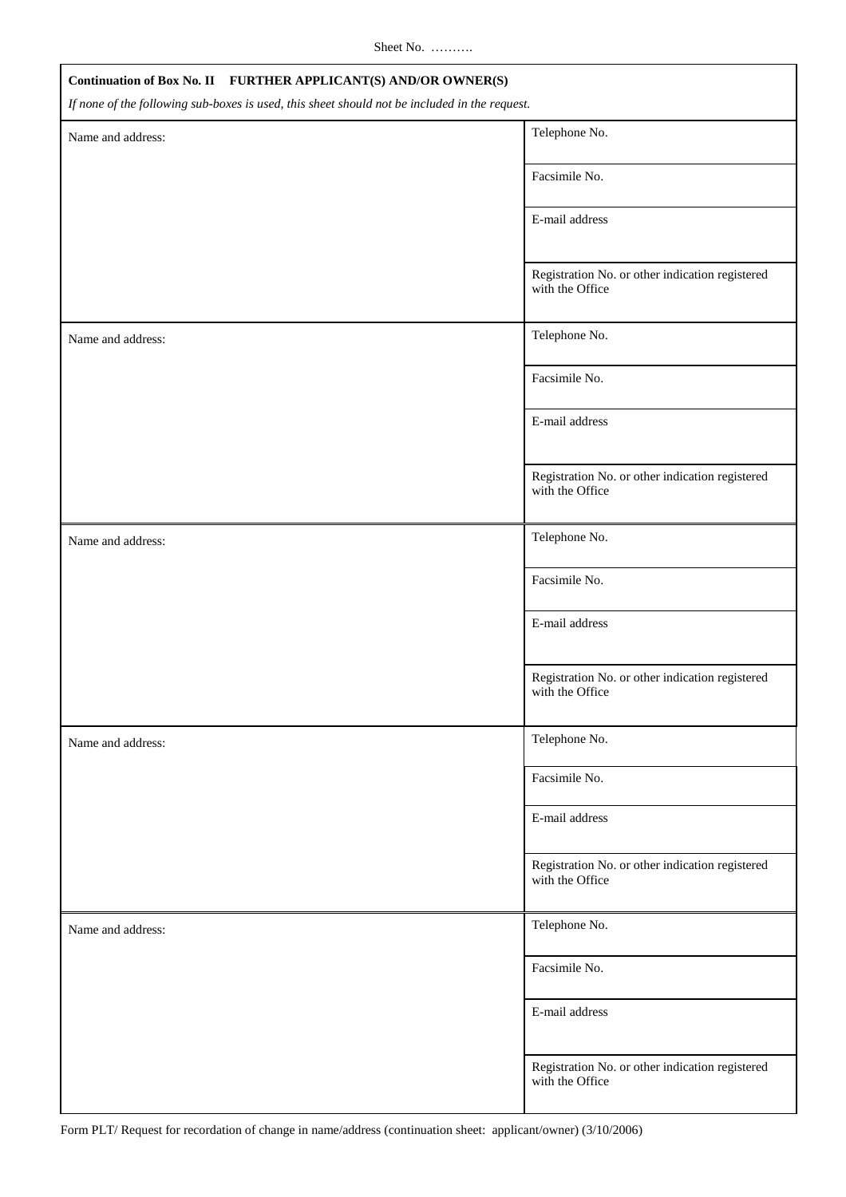Sheet No. ……….

| Continuation of Box No. II FURTHER APPLICANT(S) AND/OR OWNER(S)                               |                                                                    |  |
|-----------------------------------------------------------------------------------------------|--------------------------------------------------------------------|--|
| If none of the following sub-boxes is used, this sheet should not be included in the request. |                                                                    |  |
| Name and address:                                                                             | Telephone No.                                                      |  |
|                                                                                               | Facsimile No.                                                      |  |
|                                                                                               | E-mail address                                                     |  |
|                                                                                               | Registration No. or other indication registered<br>with the Office |  |
| Name and address:                                                                             | Telephone No.                                                      |  |
|                                                                                               | Facsimile No.                                                      |  |
|                                                                                               | E-mail address                                                     |  |
|                                                                                               | Registration No. or other indication registered<br>with the Office |  |
| Name and address:                                                                             | Telephone No.                                                      |  |
|                                                                                               | Facsimile No.                                                      |  |
|                                                                                               | E-mail address                                                     |  |
|                                                                                               | Registration No. or other indication registered<br>with the Office |  |
| Name and address:                                                                             | Telephone No.                                                      |  |
|                                                                                               | Facsimile No.                                                      |  |
|                                                                                               | E-mail address                                                     |  |
|                                                                                               | Registration No. or other indication registered<br>with the Office |  |
| Name and address:                                                                             | Telephone No.                                                      |  |
|                                                                                               | Facsimile No.                                                      |  |
|                                                                                               | E-mail address                                                     |  |
|                                                                                               | Registration No. or other indication registered<br>with the Office |  |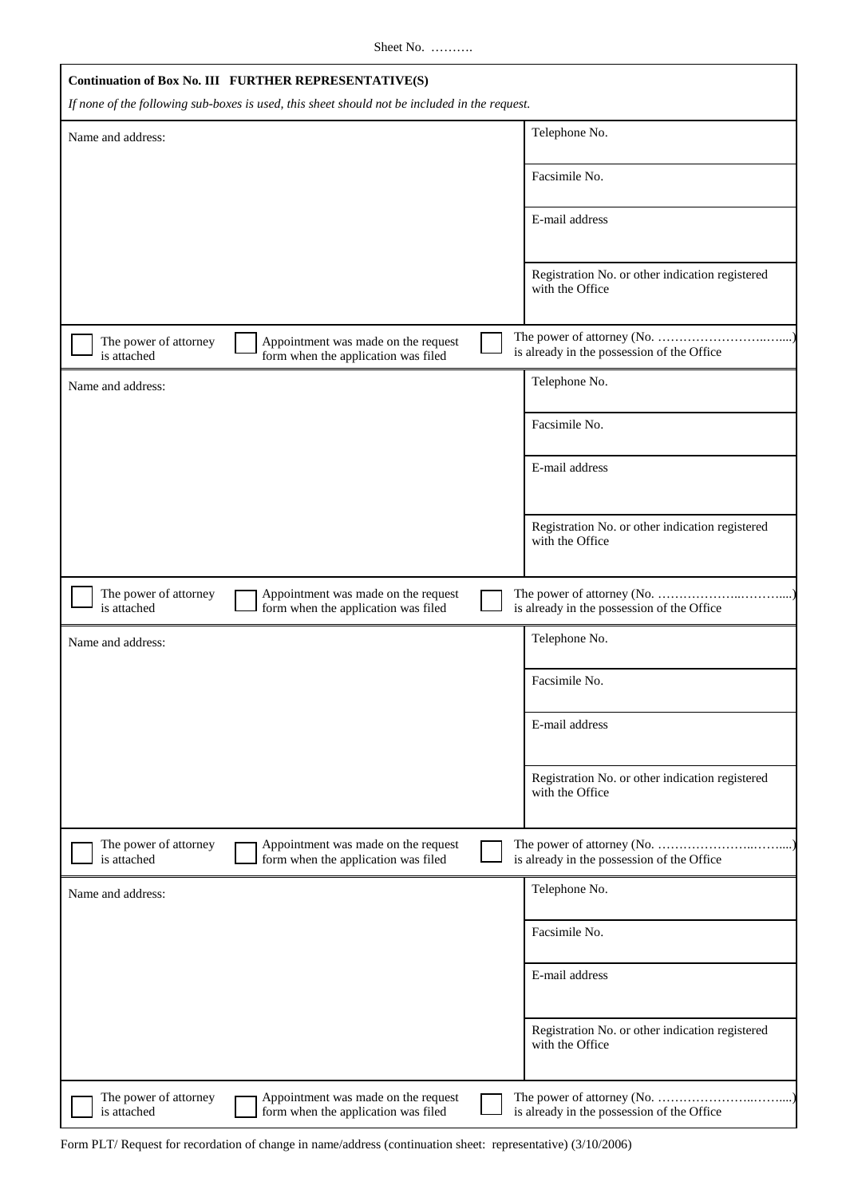Sheet No. ……….

|                                      | Continuation of Box No. III FURTHER REPRESENTATIVE(S)                                         |  |                                                                          |
|--------------------------------------|-----------------------------------------------------------------------------------------------|--|--------------------------------------------------------------------------|
|                                      | If none of the following sub-boxes is used, this sheet should not be included in the request. |  |                                                                          |
| Name and address:                    |                                                                                               |  | Telephone No.                                                            |
|                                      |                                                                                               |  | Facsimile No.                                                            |
|                                      |                                                                                               |  | E-mail address                                                           |
|                                      |                                                                                               |  | Registration No. or other indication registered<br>with the Office       |
| The power of attorney<br>is attached | Appointment was made on the request<br>form when the application was filed                    |  | The power of attorney (No.<br>is already in the possession of the Office |
| Name and address:                    |                                                                                               |  | Telephone No.                                                            |
|                                      |                                                                                               |  | Facsimile No.                                                            |
|                                      |                                                                                               |  | E-mail address                                                           |
|                                      |                                                                                               |  | Registration No. or other indication registered<br>with the Office       |
| The power of attorney<br>is attached | Appointment was made on the request<br>form when the application was filed                    |  | is already in the possession of the Office                               |
| Name and address:                    |                                                                                               |  | Telephone No.                                                            |
|                                      |                                                                                               |  | Facsimile No.                                                            |
|                                      |                                                                                               |  | E-mail address                                                           |
|                                      |                                                                                               |  | Registration No. or other indication registered<br>with the Office       |
| The power of attorney                | Appointment was made on the request                                                           |  |                                                                          |
| is attached                          | form when the application was filed                                                           |  | is already in the possession of the Office                               |
| Name and address:                    |                                                                                               |  | Telephone No.                                                            |
|                                      |                                                                                               |  | Facsimile No.                                                            |
|                                      |                                                                                               |  | E-mail address                                                           |
|                                      |                                                                                               |  | Registration No. or other indication registered<br>with the Office       |
| The power of attorney<br>is attached | Appointment was made on the request<br>form when the application was filed                    |  | is already in the possession of the Office                               |

Form PLT/ Request for recordation of change in name/address (continuation sheet: representative) (3/10/2006)